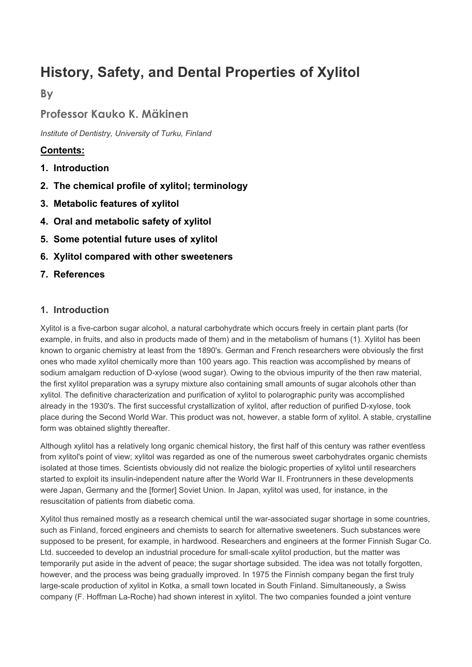# **History, Safety, and Dental Properties of Xylitol**

**By** 

# **Professor Kauko K. Mäkinen**

*Institute of Dentistry, University of Turku, Finland*

# **Contents:**

- **1. Introduction**
- **2. The chemical profile of xylitol; terminology**
- **3. Metabolic features of xylitol**
- **4. Oral and metabolic safety of xylitol**
- **5. Some potential future uses of xylitol**
- **6. Xylitol compared with other sweeteners**
- **7. References**

## **1. Introduction**

Xylitol is a five-carbon sugar alcohol, a natural carbohydrate which occurs freely in certain plant parts (for example, in fruits, and also in products made of them) and in the metabolism of humans (1). Xylitol has been known to organic chemistry at least from the 1890's. German and French researchers were obviously the first ones who made xylitol chemically more than 100 years ago. This reaction was accomplished by means of sodium amalgam reduction of D-xylose (wood sugar). Owing to the obvious impurity of the then raw material, the first xylitol preparation was a syrupy mixture also containing small amounts of sugar alcohols other than xylitol. The definitive characterization and purification of xylitol to polarographic purity was accomplished already in the 1930's. The first successful crystallization of xylitol, after reduction of purified D-xylose, took place during the Second World War. This product was not, however, a stable form of xylitol. A stable, crystalline form was obtained slightly thereafter.

Although xylitol has a relatively long organic chemical history, the first half of this century was rather eventless from xylitol's point of view; xylitol was regarded as one of the numerous sweet carbohydrates organic chemists isolated at those times. Scientists obviously did not realize the biologic properties of xylitol until researchers started to exploit its insulin-independent nature after the World War II. Frontrunners in these developments were Japan, Germany and the [former] Soviet Union. In Japan, xylitol was used, for instance, in the resuscitation of patients from diabetic coma.

Xylitol thus remained mostly as a research chemical until the war-associated sugar shortage in some countries, such as Finland, forced engineers and chemists to search for alternative sweeteners. Such substances were supposed to be present, for example, in hardwood. Researchers and engineers at the former Finnish Sugar Co. Ltd. succeeded to develop an industrial procedure for small-scale xylitol production, but the matter was temporarily put aside in the advent of peace; the sugar shortage subsided. The idea was not totally forgotten, however, and the process was being gradually improved. In 1975 the Finnish company began the first truly large-scale production of xylitol in Kotka, a small town located in South Finland. Simultaneously, a Swiss company (F. Hoffman La-Roche) had shown interest in xylitol. The two companies founded a joint venture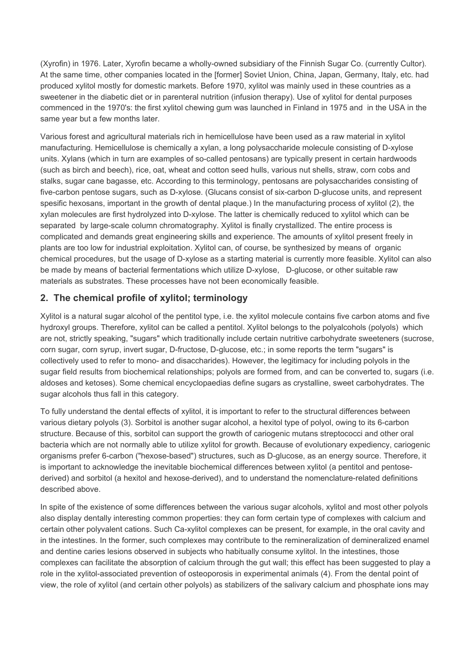(Xyrofin) in 1976. Later, Xyrofin became a wholly-owned subsidiary of the Finnish Sugar Co. (currently Cultor). At the same time, other companies located in the [former] Soviet Union, China, Japan, Germany, Italy, etc. had produced xylitol mostly for domestic markets. Before 1970, xylitol was mainly used in these countries as a sweetener in the diabetic diet or in parenteral nutrition (infusion therapy). Use of xylitol for dental purposes commenced in the 1970's: the first xylitol chewing gum was launched in Finland in 1975 and in the USA in the same year but a few months later.

Various forest and agricultural materials rich in hemicellulose have been used as a raw material in xylitol manufacturing. Hemicellulose is chemically a xylan, a long polysaccharide molecule consisting of D-xylose units. Xylans (which in turn are examples of so-called pentosans) are typically present in certain hardwoods (such as birch and beech), rice, oat, wheat and cotton seed hulls, various nut shells, straw, corn cobs and stalks, sugar cane bagasse, etc. According to this terminology, pentosans are polysaccharides consisting of five-carbon pentose sugars, such as D-xylose. (Glucans consist of six-carbon D-glucose units, and represent spesific hexosans, important in the growth of dental plaque.) In the manufacturing process of xylitol (2), the xylan molecules are first hydrolyzed into D-xylose. The latter is chemically reduced to xylitol which can be separated by large-scale column chromatography. Xylitol is finally crystallized. The entire process is complicated and demands great engineering skills and experience. The amounts of xylitol present freely in plants are too low for industrial exploitation. Xylitol can, of course, be synthesized by means of organic chemical procedures, but the usage of D-xylose as a starting material is currently more feasible. Xylitol can also be made by means of bacterial fermentations which utilize D-xylose, D-glucose, or other suitable raw materials as substrates. These processes have not been economically feasible.

## **2. The chemical profile of xylitol; terminology**

Xylitol is a natural sugar alcohol of the pentitol type, i.e. the xylitol molecule contains five carbon atoms and five hydroxyl groups. Therefore, xylitol can be called a pentitol. Xylitol belongs to the polyalcohols (polyols) which are not, strictly speaking, "sugars" which traditionally include certain nutritive carbohydrate sweeteners (sucrose, corn sugar, corn syrup, invert sugar, D-fructose, D-glucose, etc.; in some reports the term "sugars" is collectively used to refer to mono- and disaccharides). However, the legitimacy for including polyols in the sugar field results from biochemical relationships; polyols are formed from, and can be converted to, sugars (i.e. aldoses and ketoses). Some chemical encyclopaedias define sugars as crystalline, sweet carbohydrates. The sugar alcohols thus fall in this category.

To fully understand the dental effects of xylitol, it is important to refer to the structural differences between various dietary polyols (3). Sorbitol is another sugar alcohol, a hexitol type of polyol, owing to its 6-carbon structure. Because of this, sorbitol can support the growth of cariogenic mutans streptococci and other oral bacteria which are not normally able to utilize xylitol for growth. Because of evolutionary expediency, cariogenic organisms prefer 6-carbon ("hexose-based") structures, such as D-glucose, as an energy source. Therefore, it is important to acknowledge the inevitable biochemical differences between xylitol (a pentitol and pentosederived) and sorbitol (a hexitol and hexose-derived), and to understand the nomenclature-related definitions described above.

In spite of the existence of some differences between the various sugar alcohols, xylitol and most other polyols also display dentally interesting common properties: they can form certain type of complexes with calcium and certain other polyvalent cations. Such Ca-xylitol complexes can be present, for example, in the oral cavity and in the intestines. In the former, such complexes may contribute to the remineralization of demineralized enamel and dentine caries lesions observed in subjects who habitually consume xylitol. In the intestines, those complexes can facilitate the absorption of calcium through the gut wall; this effect has been suggested to play a role in the xylitol-associated prevention of osteoporosis in experimental animals (4). From the dental point of view, the role of xylitol (and certain other polyols) as stabilizers of the salivary calcium and phosphate ions may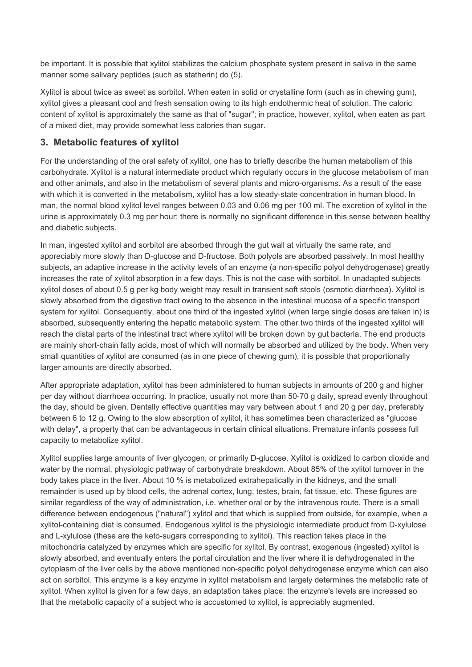be important. It is possible that xylitol stabilizes the calcium phosphate system present in saliva in the same manner some salivary peptides (such as statherin) do (5).

Xylitol is about twice as sweet as sorbitol. When eaten in solid or crystalline form (such as in chewing gum), xylitol gives a pleasant cool and fresh sensation owing to its high endothermic heat of solution. The caloric content of xylitol is approximately the same as that of "sugar"; in practice, however, xylitol, when eaten as part of a mixed diet, may provide somewhat less calories than sugar.

#### **3. Metabolic features of xylitol**

For the understanding of the oral safety of xylitol, one has to briefly describe the human metabolism of this carbohydrate. Xylitol is a natural intermediate product which regularly occurs in the glucose metabolism of man and other animals, and also in the metabolism of several plants and micro-organisms. As a result of the ease with which it is converted in the metabolism, xylitol has a low steady-state concentration in human blood. In man, the normal blood xylitol level ranges between 0.03 and 0.06 mg per 100 ml. The excretion of xylitol in the urine is approximately 0.3 mg per hour; there is normally no significant difference in this sense between healthy and diabetic subjects.

In man, ingested xylitol and sorbitol are absorbed through the gut wall at virtually the same rate, and appreciably more slowly than D-glucose and D-fructose. Both polyols are absorbed passively. In most healthy subjects, an adaptive increase in the activity levels of an enzyme (a non-specific polyol dehydrogenase) greatly increases the rate of xylitol absorption in a few days. This is not the case with sorbitol. In unadapted subjects xylitol doses of about 0.5 g per kg body weight may result in transient soft stools (osmotic diarrhoea). Xylitol is slowly absorbed from the digestive tract owing to the absence in the intestinal mucosa of a specific transport system for xylitol. Consequently, about one third of the ingested xylitol (when large single doses are taken in) is absorbed, subsequently entering the hepatic metabolic system. The other two thirds of the ingested xylitol will reach the distal parts of the intestinal tract where xylitol will be broken down by gut bacteria. The end products are mainly short-chain fatty acids, most of which will normally be absorbed and utilized by the body. When very small quantities of xylitol are consumed (as in one piece of chewing gum), it is possible that proportionally larger amounts are directly absorbed.

After appropriate adaptation, xylitol has been administered to human subjects in amounts of 200 g and higher per day without diarrhoea occurring. In practice, usually not more than 50-70 g daily, spread evenly throughout the day, should be given. Dentally effective quantities may vary between about 1 and 20 g per day, preferably between 6 to 12 g. Owing to the slow absorption of xylitol, it has sometimes been characterized as "glucose with delay", a property that can be advantageous in certain clinical situations. Premature infants possess full capacity to metabolize xylitol.

Xylitol supplies large amounts of liver glycogen, or primarily D-glucose. Xylitol is oxidized to carbon dioxide and water by the normal, physiologic pathway of carbohydrate breakdown. About 85% of the xylitol turnover in the body takes place in the liver. About 10 % is metabolized extrahepatically in the kidneys, and the small remainder is used up by blood cells, the adrenal cortex, lung, testes, brain, fat tissue, etc. These figures are similar regardless of the way of administration, i.e. whether oral or by the intravenous route. There is a small difference between endogenous ("natural") xylitol and that which is supplied from outside, for example, when a xylitol-containing diet is consumed. Endogenous xylitol is the physiologic intermediate product from D-xylulose and L-xylulose (these are the keto-sugars corresponding to xylitol). This reaction takes place in the mitochondria catalyzed by enzymes which are specific for xylitol. By contrast, exogenous (ingested) xylitol is slowly absorbed, and eventually enters the portal circulation and the liver where it is dehydrogenated in the cytoplasm of the liver cells by the above mentioned non-specific polyol dehydrogenase enzyme which can also act on sorbitol. This enzyme is a key enzyme in xylitol metabolism and largely determines the metabolic rate of xylitol. When xylitol is given for a few days, an adaptation takes place: the enzyme's levels are increased so that the metabolic capacity of a subject who is accustomed to xylitol, is appreciably augmented.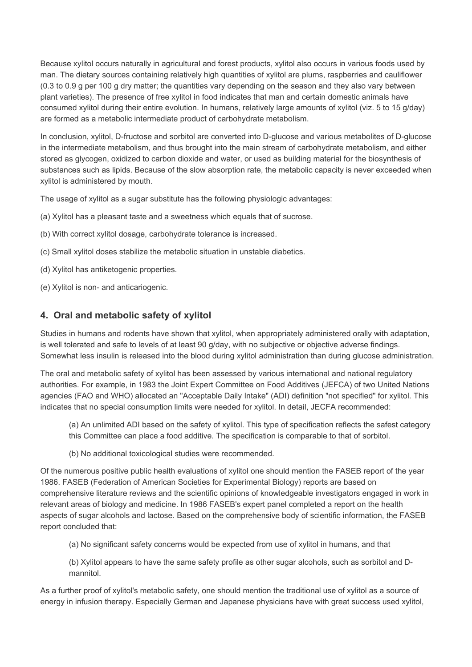Because xylitol occurs naturally in agricultural and forest products, xylitol also occurs in various foods used by man. The dietary sources containing relatively high quantities of xylitol are plums, raspberries and cauliflower (0.3 to 0.9 g per 100 g dry matter; the quantities vary depending on the season and they also vary between plant varieties). The presence of free xylitol in food indicates that man and certain domestic animals have consumed xylitol during their entire evolution. In humans, relatively large amounts of xylitol (viz. 5 to 15 g/day) are formed as a metabolic intermediate product of carbohydrate metabolism.

In conclusion, xylitol, D-fructose and sorbitol are converted into D-glucose and various metabolites of D-glucose in the intermediate metabolism, and thus brought into the main stream of carbohydrate metabolism, and either stored as glycogen, oxidized to carbon dioxide and water, or used as building material for the biosynthesis of substances such as lipids. Because of the slow absorption rate, the metabolic capacity is never exceeded when xylitol is administered by mouth.

The usage of xylitol as a sugar substitute has the following physiologic advantages:

- (a) Xylitol has a pleasant taste and a sweetness which equals that of sucrose.
- (b) With correct xylitol dosage, carbohydrate tolerance is increased.
- (c) Small xylitol doses stabilize the metabolic situation in unstable diabetics.
- (d) Xylitol has antiketogenic properties.
- (e) Xylitol is non- and anticariogenic.

## **4. Oral and metabolic safety of xylitol**

Studies in humans and rodents have shown that xylitol, when appropriately administered orally with adaptation, is well tolerated and safe to levels of at least 90 g/day, with no subjective or objective adverse findings. Somewhat less insulin is released into the blood during xylitol administration than during glucose administration.

The oral and metabolic safety of xylitol has been assessed by various international and national regulatory authorities. For example, in 1983 the Joint Expert Committee on Food Additives (JEFCA) of two United Nations agencies (FAO and WHO) allocated an "Acceptable Daily Intake" (ADI) definition "not specified" for xylitol. This indicates that no special consumption limits were needed for xylitol. In detail, JECFA recommended:

(a) An unlimited ADI based on the safety of xylitol. This type of specification reflects the safest category this Committee can place a food additive. The specification is comparable to that of sorbitol.

(b) No additional toxicological studies were recommended.

Of the numerous positive public health evaluations of xylitol one should mention the FASEB report of the year 1986. FASEB (Federation of American Societies for Experimental Biology) reports are based on comprehensive literature reviews and the scientific opinions of knowledgeable investigators engaged in work in relevant areas of biology and medicine. In 1986 FASEB's expert panel completed a report on the health aspects of sugar alcohols and lactose. Based on the comprehensive body of scientific information, the FASEB report concluded that:

(a) No significant safety concerns would be expected from use of xylitol in humans, and that

(b) Xylitol appears to have the same safety profile as other sugar alcohols, such as sorbitol and Dmannitol.

As a further proof of xylitol's metabolic safety, one should mention the traditional use of xylitol as a source of energy in infusion therapy. Especially German and Japanese physicians have with great success used xylitol,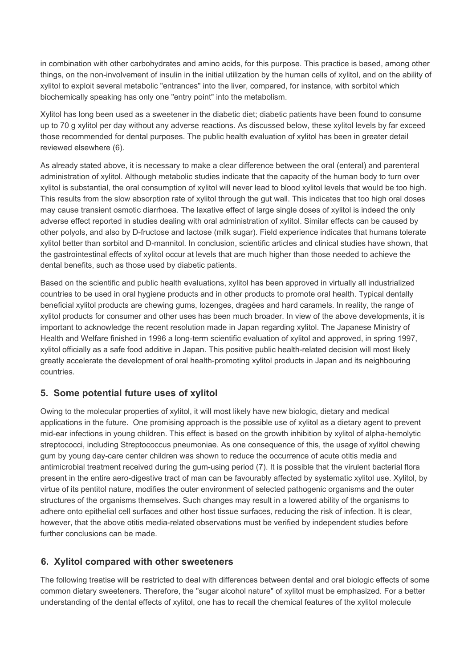in combination with other carbohydrates and amino acids, for this purpose. This practice is based, among other things, on the non-involvement of insulin in the initial utilization by the human cells of xylitol, and on the ability of xylitol to exploit several metabolic "entrances" into the liver, compared, for instance, with sorbitol which biochemically speaking has only one "entry point" into the metabolism.

Xylitol has long been used as a sweetener in the diabetic diet; diabetic patients have been found to consume up to 70 g xylitol per day without any adverse reactions. As discussed below, these xylitol levels by far exceed those recommended for dental purposes. The public health evaluation of xylitol has been in greater detail reviewed elsewhere (6).

As already stated above, it is necessary to make a clear difference between the oral (enteral) and parenteral administration of xylitol. Although metabolic studies indicate that the capacity of the human body to turn over xylitol is substantial, the oral consumption of xylitol will never lead to blood xylitol levels that would be too high. This results from the slow absorption rate of xylitol through the gut wall. This indicates that too high oral doses may cause transient osmotic diarrhoea. The laxative effect of large single doses of xylitol is indeed the only adverse effect reported in studies dealing with oral administration of xylitol. Similar effects can be caused by other polyols, and also by D-fructose and lactose (milk sugar). Field experience indicates that humans tolerate xylitol better than sorbitol and D-mannitol. In conclusion, scientific articles and clinical studies have shown, that the gastrointestinal effects of xylitol occur at levels that are much higher than those needed to achieve the dental benefits, such as those used by diabetic patients.

Based on the scientific and public health evaluations, xylitol has been approved in virtually all industrialized countries to be used in oral hygiene products and in other products to promote oral health. Typical dentally beneficial xylitol products are chewing gums, lozenges, dragées and hard caramels. In reality, the range of xylitol products for consumer and other uses has been much broader. In view of the above developments, it is important to acknowledge the recent resolution made in Japan regarding xylitol. The Japanese Ministry of Health and Welfare finished in 1996 a long-term scientific evaluation of xylitol and approved, in spring 1997, xylitol officially as a safe food additive in Japan. This positive public health-related decision will most likely greatly accelerate the development of oral health-promoting xylitol products in Japan and its neighbouring countries.

#### **5. Some potential future uses of xylitol**

Owing to the molecular properties of xylitol, it will most likely have new biologic, dietary and medical applications in the future. One promising approach is the possible use of xylitol as a dietary agent to prevent mid-ear infections in young children. This effect is based on the growth inhibition by xylitol of alpha-hemolytic streptococci, including Streptococcus pneumoniae. As one consequence of this, the usage of xylitol chewing gum by young day-care center children was shown to reduce the occurrence of acute otitis media and antimicrobial treatment received during the gum-using period (7). It is possible that the virulent bacterial flora present in the entire aero-digestive tract of man can be favourably affected by systematic xylitol use. Xylitol, by virtue of its pentitol nature, modifies the outer environment of selected pathogenic organisms and the outer structures of the organisms themselves. Such changes may result in a lowered ability of the organisms to adhere onto epithelial cell surfaces and other host tissue surfaces, reducing the risk of infection. It is clear, however, that the above otitis media-related observations must be verified by independent studies before further conclusions can be made.

#### **6. Xylitol compared with other sweeteners**

The following treatise will be restricted to deal with differences between dental and oral biologic effects of some common dietary sweeteners. Therefore, the "sugar alcohol nature" of xylitol must be emphasized. For a better understanding of the dental effects of xylitol, one has to recall the chemical features of the xylitol molecule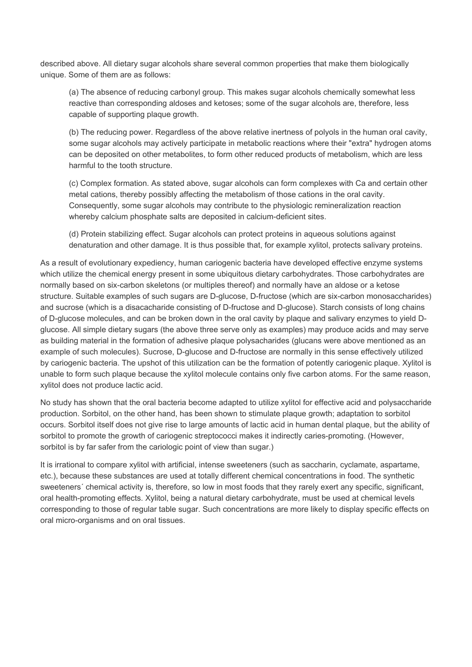described above. All dietary sugar alcohols share several common properties that make them biologically unique. Some of them are as follows:

(a) The absence of reducing carbonyl group. This makes sugar alcohols chemically somewhat less reactive than corresponding aldoses and ketoses; some of the sugar alcohols are, therefore, less capable of supporting plaque growth.

(b) The reducing power. Regardless of the above relative inertness of polyols in the human oral cavity, some sugar alcohols may actively participate in metabolic reactions where their "extra" hydrogen atoms can be deposited on other metabolites, to form other reduced products of metabolism, which are less harmful to the tooth structure.

(c) Complex formation. As stated above, sugar alcohols can form complexes with Ca and certain other metal cations, thereby possibly affecting the metabolism of those cations in the oral cavity. Consequently, some sugar alcohols may contribute to the physiologic remineralization reaction whereby calcium phosphate salts are deposited in calcium-deficient sites.

(d) Protein stabilizing effect. Sugar alcohols can protect proteins in aqueous solutions against denaturation and other damage. It is thus possible that, for example xylitol, protects salivary proteins.

As a result of evolutionary expediency, human cariogenic bacteria have developed effective enzyme systems which utilize the chemical energy present in some ubiquitous dietary carbohydrates. Those carbohydrates are normally based on six-carbon skeletons (or multiples thereof) and normally have an aldose or a ketose structure. Suitable examples of such sugars are D-glucose, D-fructose (which are six-carbon monosaccharides) and sucrose (which is a disacacharide consisting of D-fructose and D-glucose). Starch consists of long chains of D-glucose molecules, and can be broken down in the oral cavity by plaque and salivary enzymes to yield Dglucose. All simple dietary sugars (the above three serve only as examples) may produce acids and may serve as building material in the formation of adhesive plaque polysacharides (glucans were above mentioned as an example of such molecules). Sucrose, D-glucose and D-fructose are normally in this sense effectively utilized by cariogenic bacteria. The upshot of this utilization can be the formation of potently cariogenic plaque. Xylitol is unable to form such plaque because the xylitol molecule contains only five carbon atoms. For the same reason, xylitol does not produce lactic acid.

No study has shown that the oral bacteria become adapted to utilize xylitol for effective acid and polysaccharide production. Sorbitol, on the other hand, has been shown to stimulate plaque growth; adaptation to sorbitol occurs. Sorbitol itself does not give rise to large amounts of lactic acid in human dental plaque, but the ability of sorbitol to promote the growth of cariogenic streptococci makes it indirectly caries-promoting. (However, sorbitol is by far safer from the cariologic point of view than sugar.)

It is irrational to compare xylitol with artificial, intense sweeteners (such as saccharin, cyclamate, aspartame, etc.), because these substances are used at totally different chemical concentrations in food. The synthetic sweeteners´ chemical activity is, therefore, so low in most foods that they rarely exert any specific, significant, oral health-promoting effects. Xylitol, being a natural dietary carbohydrate, must be used at chemical levels corresponding to those of regular table sugar. Such concentrations are more likely to display specific effects on oral micro-organisms and on oral tissues.